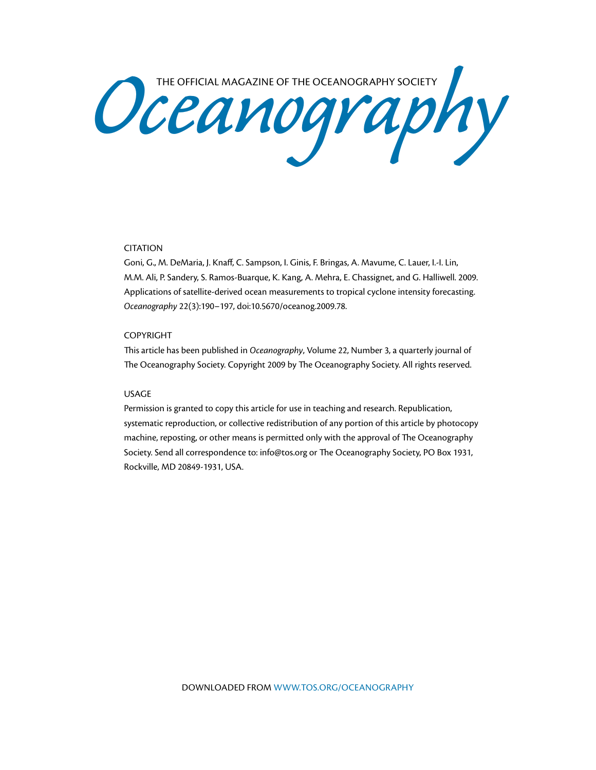Oceanography Society

## CITATION

Goni, G., M. DeMaria, J. Knaff, C. Sampson, I. Ginis, F. Bringas, A. Mavume, C. Lauer, I.-I. Lin, M.M. Ali, P. Sandery, S. Ramos-Buarque, K. Kang, A. Mehra, E. Chassignet, and G. Halliwell. 2009. Applications of satellite-derived ocean measurements to tropical cyclone intensity forecasting. *Oceanography* 22(3):190–197, doi:10.5670/oceanog.2009.78.

#### COPYRIGHT

This article has been published in *Oceanography*, Volume 22, Number 3, a quarterly journal of The Oceanography Society. Copyright 2009 by The Oceanography Society. All rights reserved.

### USAGE

Permission is granted to copy this article for use in teaching and research. Republication, systematic reproduction, or collective redistribution of any portion of this article by photocopy machine, reposting, or other means is permitted only with the approval of The Oceanography Society. Send all correspondence to: info@tos.org or The Oceanography Society, PO Box 1931, Rockville, MD 20849-1931, USA.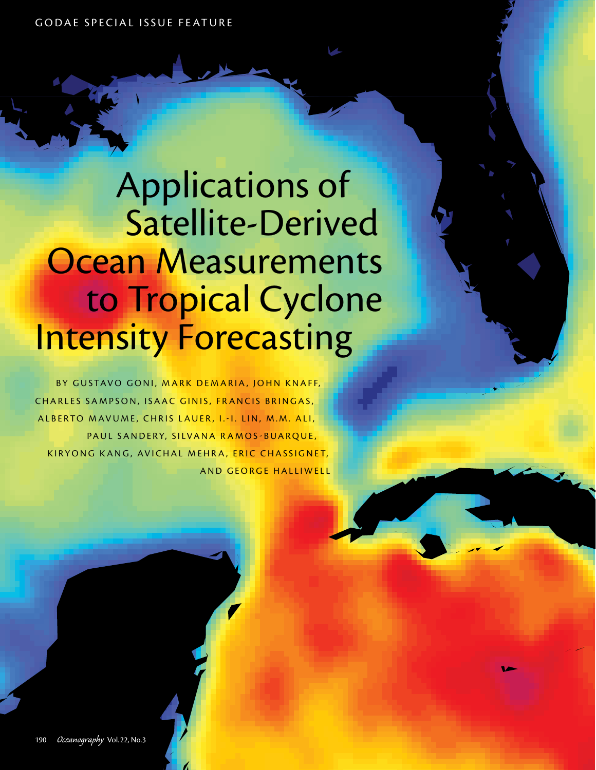GODAE SPECIAL ISSUE FEATURE

Applications of Satellite-Derived **Ocean Measurements** to Tropical Cyclone Intensity Forecasting

BY GUSTAVO GONI, MARK DEMARIA, JOHN KNAFF, CHARLES SAMPSON, ISAAC GINIS, FRANCIS BRINGAS, ALBERTO MAVUME, CHRIS LAUER, I.-I. LIN, M.M. ALI, PAUL SANDERY, SILVANA RAMOS-BUARQUE, KIRYONG KANG, AVICHAL MEHRA, ERIC CHASSIGNET, AND GEORGE HALLIWELL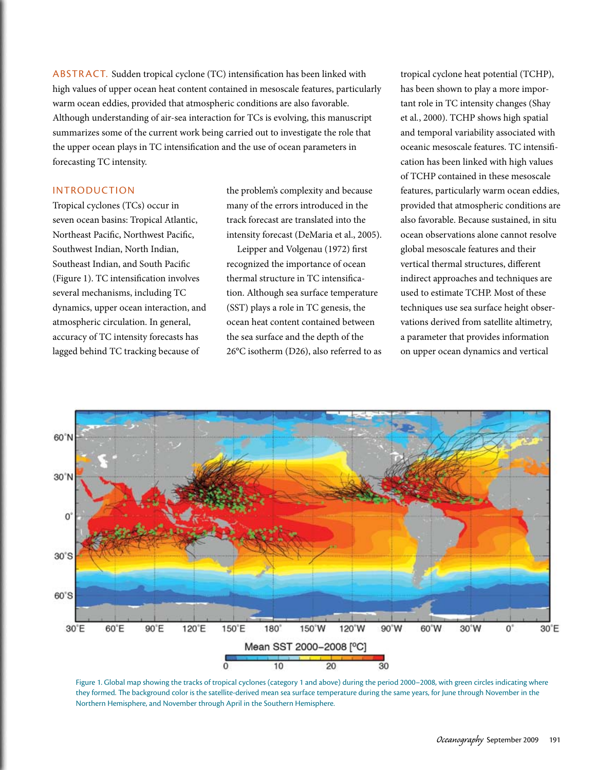ABSTRACT. Sudden tropical cyclone (TC) intensification has been linked with high values of upper ocean heat content contained in mesoscale features, particularly warm ocean eddies, provided that atmospheric conditions are also favorable. Although understanding of air-sea interaction for TCs is evolving, this manuscript summarizes some of the current work being carried out to investigate the role that the upper ocean plays in TC intensification and the use of ocean parameters in forecasting TC intensity.

## Introduction

Tropical cyclones (TCs) occur in seven ocean basins: Tropical Atlantic, Northeast Pacific, Northwest Pacific, Southwest Indian, North Indian, Southeast Indian, and South Pacific (Figure 1). TC intensification involves several mechanisms, including TC dynamics, upper ocean interaction, and atmospheric circulation. In general, accuracy of TC intensity forecasts has lagged behind TC tracking because of

the problem's complexity and because many of the errors introduced in the track forecast are translated into the intensity forecast (DeMaria et al., 2005).

Leipper and Volgenau (1972) first recognized the importance of ocean thermal structure in TC intensification. Although sea surface temperature (SST) plays a role in TC genesis, the ocean heat content contained between the sea surface and the depth of the 26°C isotherm (D26), also referred to as tropical cyclone heat potential (TCHP), has been shown to play a more important role in TC intensity changes (Shay et al*.*, 2000). TCHP shows high spatial and temporal variability associated with oceanic mesoscale features. TC intensification has been linked with high values of TCHP contained in these mesoscale features, particularly warm ocean eddies, provided that atmospheric conditions are also favorable. Because sustained, in situ ocean observations alone cannot resolve global mesoscale features and their vertical thermal structures, different indirect approaches and techniques are used to estimate TCHP. Most of these techniques use sea surface height observations derived from satellite altimetry, a parameter that provides information on upper ocean dynamics and vertical



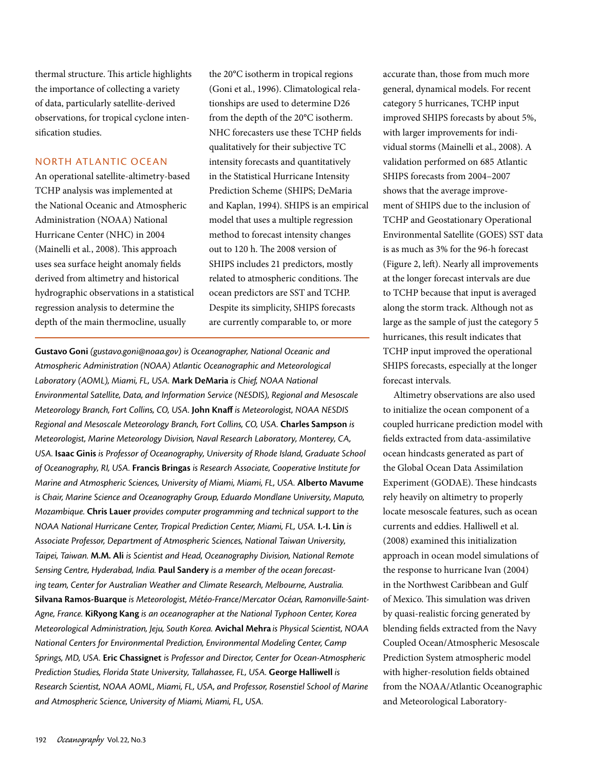thermal structure. This article highlights the importance of collecting a variety of data, particularly satellite-derived observations, for tropical cyclone intensification studies.

# North Atlantic Ocean

An operational satellite-altimetry-based TCHP analysis was implemented at the National Oceanic and Atmospheric Administration (NOAA) National Hurricane Center (NHC) in 2004 (Mainelli et al*.*, 2008). This approach uses sea surface height anomaly fields derived from altimetry and historical hydrographic observations in a statistical regression analysis to determine the depth of the main thermocline, usually

the 20°C isotherm in tropical regions (Goni et al., 1996). Climatological relationships are used to determine D26 from the depth of the 20°C isotherm. NHC forecasters use these TCHP fields qualitatively for their subjective TC intensity forecasts and quantitatively in the Statistical Hurricane Intensity Prediction Scheme (SHIPS; DeMaria and Kaplan, 1994). SHIPS is an empirical model that uses a multiple regression method to forecast intensity changes out to 120 h. The 2008 version of SHIPS includes 21 predictors, mostly related to atmospheric conditions. The ocean predictors are SST and TCHP. Despite its simplicity, SHIPS forecasts are currently comparable to, or more

**Gustavo Goni** *(gustavo.goni@noaa.gov) is Oceanographer, National Oceanic and Atmospheric Administration (NOAA) Atlantic Oceanographic and Meteorological Laboratory (AOML), Miami, FL, USA.* **Mark DeMaria** *is Chief, NOAA National Environmental Satellite, Data, and Information Service (NESDIS), Regional and Mesoscale Meteorology Branch, Fort Collins, CO, USA.* **John Knaff** *is Meteorologist, NOAA NESDIS Regional and Mesoscale Meteorology Branch, Fort Collins, CO, USA.* **Charles Sampson** *is Meteorologist, Marine Meteorology Division, Naval Research Laboratory, Monterey, CA, USA.* **Isaac Ginis** *is Professor of Oceanography, University of Rhode Island, Graduate School of Oceanography, RI, USA.* **Francis Bringas** *is Research Associate, Cooperative Institute for Marine and Atmospheric Sciences, University of Miami, Miami, FL, USA.* **Alberto Mavume** *is Chair, Marine Science and Oceanography Group, Eduardo Mondlane University, Maputo, Mozambique.* **Chris Lauer** *provides computer programming and technical support to the NOAA National Hurricane Center, Tropical Prediction Center, Miami, FL, USA.* **I.-I. Lin** *is Associate Professor, Department of Atmospheric Sciences, National Taiwan University, Taipei, Taiwan.* **M.M. Ali** *is Scientist and Head, Oceanography Division, National Remote Sensing Centre, Hyderabad, India.* **Paul Sandery** *is a member of the ocean forecasting team, Center for Australian Weather and Climate Research, Melbourne, Australia.*  **Silvana Ramos-Buarque** *is Meteorologist, Météo-France/Mercator Océan, Ramonville-Saint-Agne, France.* **KiRyong Kang** *is an oceanographer at the National Typhoon Center, Korea Meteorological Administration, Jeju, South Korea.* **Avichal Mehra** *is Physical Scientist, NOAA National Centers for Environmental Prediction, Environmental Modeling Center, Camp Springs, MD, USA.* **Eric Chassignet** *is Professor and Director, Center for Ocean-Atmospheric Prediction Studies, Florida State University, Tallahassee, FL, USA.* **George Halliwell** *is Research Scientist, NOAA AOML, Miami, FL, USA, and Professor, Rosenstiel School of Marine and Atmospheric Science, University of Miami, Miami, FL, USA.*

accurate than, those from much more general, dynamical models. For recent category 5 hurricanes, TCHP input improved SHIPS forecasts by about 5%, with larger improvements for individual storms (Mainelli et al., 2008). A validation performed on 685 Atlantic SHIPS forecasts from 2004–2007 shows that the average improvement of SHIPS due to the inclusion of TCHP and Geostationary Operational Environmental Satellite (GOES) SST data is as much as 3% for the 96-h forecast (Figure 2, left). Nearly all improvements at the longer forecast intervals are due to TCHP because that input is averaged along the storm track. Although not as large as the sample of just the category 5 hurricanes, this result indicates that TCHP input improved the operational SHIPS forecasts, especially at the longer forecast intervals.

Altimetry observations are also used to initialize the ocean component of a coupled hurricane prediction model with fields extracted from data-assimilative ocean hindcasts generated as part of the Global Ocean Data Assimilation Experiment (GODAE). These hindcasts rely heavily on altimetry to properly locate mesoscale features, such as ocean currents and eddies. Halliwell et al. (2008) examined this initialization approach in ocean model simulations of the response to hurricane Ivan (2004) in the Northwest Caribbean and Gulf of Mexico. This simulation was driven by quasi-realistic forcing generated by blending fields extracted from the Navy Coupled Ocean/Atmospheric Mesoscale Prediction System atmospheric model with higher-resolution fields obtained from the NOAA/Atlantic Oceanographic and Meteorological Laboratory-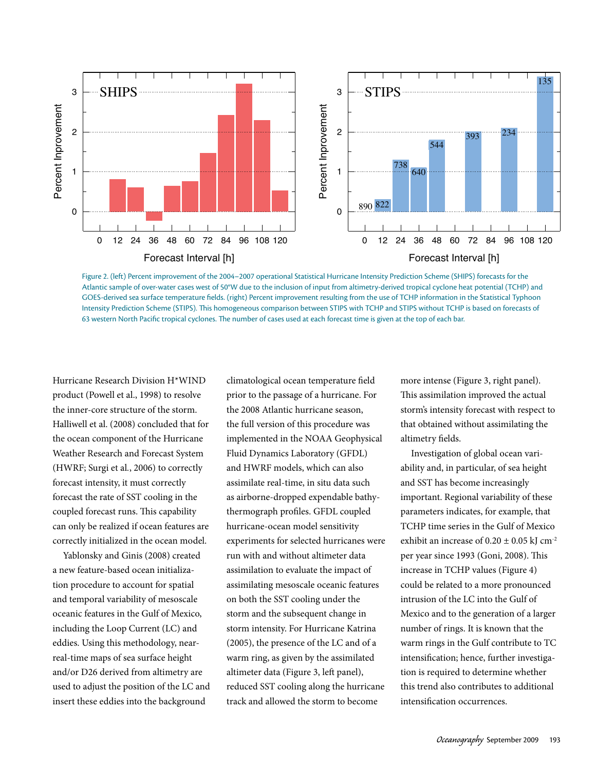

Figure 2. (left) Percent improvement of the 2004–2007 operational Statistical Hurricane Intensity Prediction Scheme (SHIPS) forecasts for the Atlantic sample of over-water cases west of 50°W due to the inclusion of input from altimetry-derived tropical cyclone heat potential (TCHP) and GOES-derived sea surface temperature fields. (right) Percent improvement resulting from the use of TCHP information in the Statistical Typhoon Intensity Prediction Scheme (STIPS). This homogeneous comparison between STIPS with TCHP and STIPS without TCHP is based on forecasts of 63 western North Pacific tropical cyclones. The number of cases used at each forecast time is given at the top of each bar.

Hurricane Research Division H\*WIND product (Powell et al., 1998) to resolve the inner-core structure of the storm. Halliwell et al. (2008) concluded that for the ocean component of the Hurricane Weather Research and Forecast System (HWRF; Surgi et al*.*, 2006) to correctly forecast intensity, it must correctly forecast the rate of SST cooling in the coupled forecast runs. This capability can only be realized if ocean features are correctly initialized in the ocean model.

Yablonsky and Ginis (2008) created a new feature-based ocean initialization procedure to account for spatial and temporal variability of mesoscale oceanic features in the Gulf of Mexico, including the Loop Current (LC) and eddies. Using this methodology, nearreal-time maps of sea surface height and/or D26 derived from altimetry are used to adjust the position of the LC and insert these eddies into the background

climatological ocean temperature field prior to the passage of a hurricane. For the 2008 Atlantic hurricane season, the full version of this procedure was implemented in the NOAA Geophysical Fluid Dynamics Laboratory (GFDL) and HWRF models, which can also assimilate real-time, in situ data such as airborne-dropped expendable bathythermograph profiles. GFDL coupled hurricane-ocean model sensitivity experiments for selected hurricanes were run with and without altimeter data assimilation to evaluate the impact of assimilating mesoscale oceanic features on both the SST cooling under the storm and the subsequent change in storm intensity. For Hurricane Katrina (2005), the presence of the LC and of a warm ring, as given by the assimilated altimeter data (Figure 3, left panel), reduced SST cooling along the hurricane track and allowed the storm to become

more intense (Figure 3, right panel). This assimilation improved the actual storm's intensity forecast with respect to that obtained without assimilating the altimetry fields.

Investigation of global ocean variability and, in particular, of sea height and SST has become increasingly important. Regional variability of these parameters indicates, for example, that TCHP time series in the Gulf of Mexico exhibit an increase of  $0.20 \pm 0.05$  kJ cm<sup>-2</sup> per year since 1993 (Goni, 2008). This increase in TCHP values (Figure 4) could be related to a more pronounced intrusion of the LC into the Gulf of Mexico and to the generation of a larger number of rings. It is known that the warm rings in the Gulf contribute to TC intensification; hence, further investigation is required to determine whether this trend also contributes to additional intensification occurrences.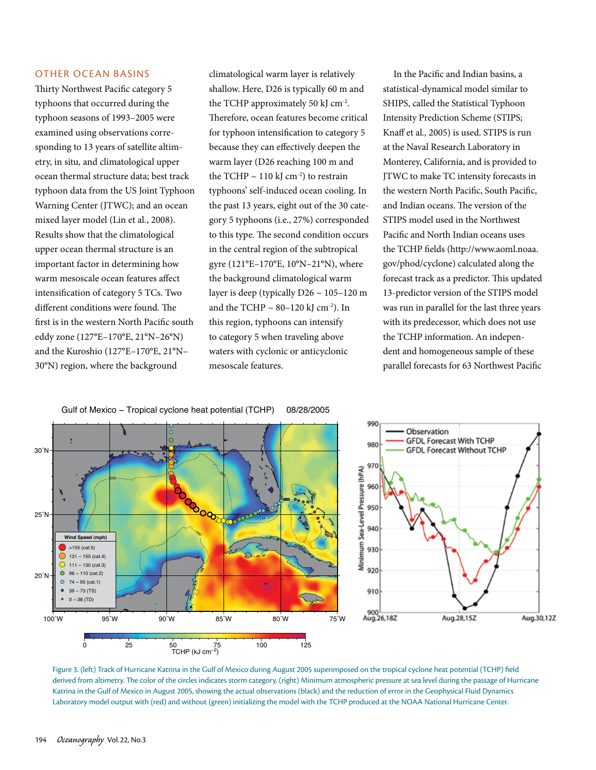### Other Ocean Basins

Thirty Northwest Pacific category 5 typhoons that occurred during the typhoon seasons of 1993–2005 were examined using observations corresponding to 13 years of satellite altimetry, in situ*,* and climatological upper ocean thermal structure data; best track typhoon data from the US Joint Typhoon Warning Center (JTWC); and an ocean mixed layer model (Lin et al*.*, 2008). Results show that the climatological upper ocean thermal structure is an important factor in determining how warm mesoscale ocean features affect intensification of category 5 TCs. Two different conditions were found. The first is in the western North Pacific south eddy zone (127°E–170°E, 21°N–26°N) and the Kuroshio (127°E–170°E, 21°N– 30°N) region, where the background

climatological warm layer is relatively shallow. Here, D26 is typically 60 m and the TCHP approximately 50 kJ cm-2. Therefore, ocean features become critical for typhoon intensification to category 5 because they can effectively deepen the warm layer (D26 reaching 100 m and the TCHP  $\sim$  110 kJ cm<sup>-2</sup>) to restrain typhoons' self-induced ocean cooling. In the past 13 years, eight out of the 30 category 5 typhoons (i.e., 27%) corresponded to this type. The second condition occurs in the central region of the subtropical gyre (121°E–170°E, 10°N–21°N), where the background climatological warm layer is deep (typically D26 ~ 105–120 m and the TCHP  $\sim$  80–120 kJ cm<sup>-2</sup>). In this region, typhoons can intensify to category 5 when traveling above waters with cyclonic or anticyclonic mesoscale features.

In the Pacific and Indian basins, a statistical-dynamical model similar to SHIPS, called the Statistical Typhoon Intensity Prediction Scheme (STIPS; Knaff et al*.,* 2005) is used. STIPS is run at the Naval Research Laboratory in Monterey, California, and is provided to JTWC to make TC intensity forecasts in the western North Pacific, South Pacific, and Indian oceans. The version of the STIPS model used in the Northwest Pacific and North Indian oceans uses the TCHP fields (http://www.aoml.noaa. gov/phod/cyclone) calculated along the forecast track as a predictor. This updated 13-predictor version of the STIPS model was run in parallel for the last three years with its predecessor, which does not use the TCHP information. An independent and homogeneous sample of these parallel forecasts for 63 Northwest Pacific





Figure 3. (left) Track of Hurricane Katrina in the Gulf of Mexico during August 2005 superimposed on the tropical cyclone heat potential (TCHP) field derived from altimetry. The color of the circles indicates storm category. (right) Minimum atmospheric pressure at sea level during the passage of Hurricane Katrina in the Gulf of Mexico in August 2005, showing the actual observations (black) and the reduction of error in the Geophysical Fluid Dynamics Laboratory model output with (red) and without (green) initializing the model with the TCHP produced at the NOAA National Hurricane Center.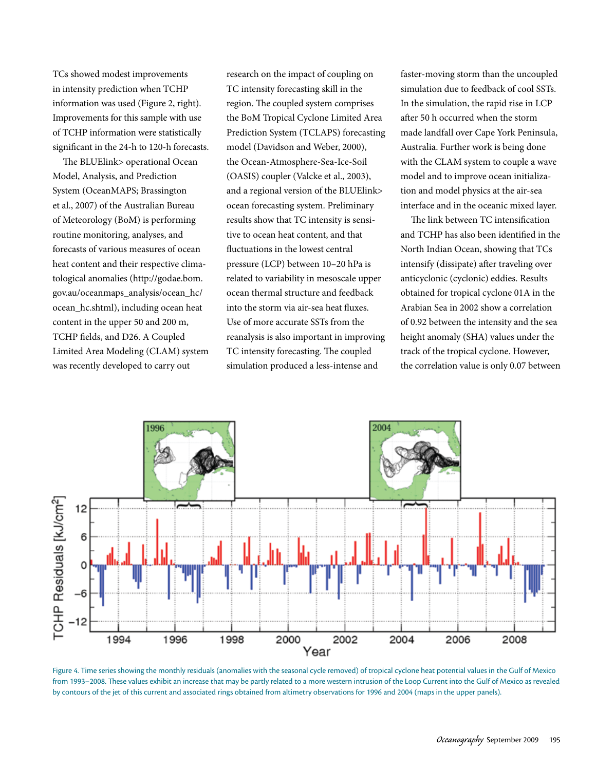TCs showed modest improvements in intensity prediction when TCHP information was used (Figure 2, right). Improvements for this sample with use of TCHP information were statistically significant in the 24-h to 120-h forecasts.

The BLUElink> operational Ocean Model, Analysis, and Prediction System (OceanMAPS; Brassington et al., 2007) of the Australian Bureau of Meteorology (BoM) is performing routine monitoring, analyses, and forecasts of various measures of ocean heat content and their respective climatological anomalies (http://godae.bom. gov.au/oceanmaps\_analysis/ocean\_hc/ ocean\_hc.shtml), including ocean heat content in the upper 50 and 200 m, TCHP fields, and D26. A Coupled Limited Area Modeling (CLAM) system was recently developed to carry out

research on the impact of coupling on TC intensity forecasting skill in the region. The coupled system comprises the BoM Tropical Cyclone Limited Area Prediction System (TCLAPS) forecasting model (Davidson and Weber, 2000), the Ocean-Atmosphere-Sea-Ice-Soil (OASIS) coupler (Valcke et al., 2003), and a regional version of the BLUElink> ocean forecasting system. Preliminary results show that TC intensity is sensitive to ocean heat content, and that fluctuations in the lowest central pressure (LCP) between 10–20 hPa is related to variability in mesoscale upper ocean thermal structure and feedback into the storm via air-sea heat fluxes. Use of more accurate SSTs from the reanalysis is also important in improving TC intensity forecasting. The coupled simulation produced a less-intense and

faster-moving storm than the uncoupled simulation due to feedback of cool SSTs. In the simulation, the rapid rise in LCP after 50 h occurred when the storm made landfall over Cape York Peninsula, Australia. Further work is being done with the CLAM system to couple a wave model and to improve ocean initialization and model physics at the air-sea interface and in the oceanic mixed layer.

The link between TC intensification and TCHP has also been identified in the North Indian Ocean, showing that TCs intensify (dissipate) after traveling over anticyclonic (cyclonic) eddies. Results obtained for tropical cyclone 01A in the Arabian Sea in 2002 show a correlation of 0.92 between the intensity and the sea height anomaly (SHA) values under the track of the tropical cyclone. However, the correlation value is only 0.07 between



Figure 4. Time series showing the monthly residuals (anomalies with the seasonal cycle removed) of tropical cyclone heat potential values in the Gulf of Mexico from 1993–2008. These values exhibit an increase that may be partly related to a more western intrusion of the Loop Current into the Gulf of Mexico as revealed by contours of the jet of this current and associated rings obtained from altimetry observations for 1996 and 2004 (maps in the upper panels).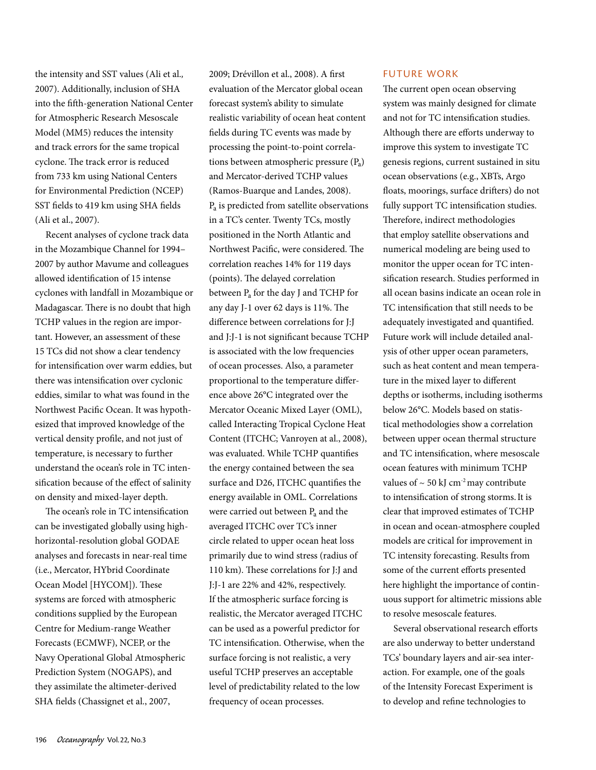the intensity and SST values (Ali et al.*,* 2007). Additionally, inclusion of SHA into the fifth-generation National Center for Atmospheric Research Mesoscale Model (MM5) reduces the intensity and track errors for the same tropical cyclone. The track error is reduced from 733 km using National Centers for Environmental Prediction (NCEP) SST fields to 419 km using SHA fields (Ali et al., 2007).

Recent analyses of cyclone track data in the Mozambique Channel for 1994– 2007 by author Mavume and colleagues allowed identification of 15 intense cyclones with landfall in Mozambique or Madagascar. There is no doubt that high TCHP values in the region are important. However, an assessment of these 15 TCs did not show a clear tendency for intensification over warm eddies, but there was intensification over cyclonic eddies, similar to what was found in the Northwest Pacific Ocean. It was hypothesized that improved knowledge of the vertical density profile, and not just of temperature, is necessary to further understand the ocean's role in TC intensification because of the effect of salinity on density and mixed-layer depth.

The ocean's role in TC intensification can be investigated globally using highhorizontal-resolution global GODAE analyses and forecasts in near-real time (i.e., Mercator, HYbrid Coordinate Ocean Model [HYCOM]). These systems are forced with atmospheric conditions supplied by the European Centre for Medium-range Weather Forecasts (ECMWF), NCEP, or the Navy Operational Global Atmospheric Prediction System (NOGAPS), and they assimilate the altimeter-derived SHA fields (Chassignet et al., 2007,

2009; Drévillon et al., 2008). A first evaluation of the Mercator global ocean forecast system's ability to simulate realistic variability of ocean heat content fields during TC events was made by processing the point-to-point correlations between atmospheric pressure  $(P_a)$ and Mercator-derived TCHP values (Ramos-Buarque and Landes, 2008). Pa is predicted from satellite observations in a TC's center. Twenty TCs, mostly positioned in the North Atlantic and Northwest Pacific, were considered. The correlation reaches 14% for 119 days (points). The delayed correlation between Pa for the day J and TCHP for any day J-1 over 62 days is 11%. The difference between correlations for J:J and J:J-1 is not significant because TCHP is associated with the low frequencies of ocean processes. Also, a parameter proportional to the temperature difference above 26°C integrated over the Mercator Oceanic Mixed Layer (OML), called Interacting Tropical Cyclone Heat Content (ITCHC; Vanroyen at al., 2008), was evaluated. While TCHP quantifies the energy contained between the sea surface and D26, ITCHC quantifies the energy available in OML. Correlations were carried out between  $P_a$  and the averaged ITCHC over TC's inner circle related to upper ocean heat loss primarily due to wind stress (radius of 110 km). These correlations for J:J and J:J-1 are 22% and 42%, respectively. If the atmospheric surface forcing is realistic, the Mercator averaged ITCHC can be used as a powerful predictor for TC intensification. Otherwise, when the surface forcing is not realistic, a very useful TCHP preserves an acceptable level of predictability related to the low frequency of ocean processes.

## Future Work

The current open ocean observing system was mainly designed for climate and not for TC intensification studies. Although there are efforts underway to improve this system to investigate TC genesis regions, current sustained in situ ocean observations (e.g., XBTs, Argo floats, moorings, surface drifters) do not fully support TC intensification studies. Therefore, indirect methodologies that employ satellite observations and numerical modeling are being used to monitor the upper ocean for TC intensification research. Studies performed in all ocean basins indicate an ocean role in TC intensification that still needs to be adequately investigated and quantified. Future work will include detailed analysis of other upper ocean parameters, such as heat content and mean temperature in the mixed layer to different depths or isotherms, including isotherms below 26°C. Models based on statistical methodologies show a correlation between upper ocean thermal structure and TC intensification, where mesoscale ocean features with minimum TCHP values of  $\sim$  50 kJ cm<sup>-2</sup> may contribute to intensification of strong storms.It is clear that improved estimates of TCHP in ocean and ocean-atmosphere coupled models are critical for improvement in TC intensity forecasting. Results from some of the current efforts presented here highlight the importance of continuous support for altimetric missions able to resolve mesoscale features.

Several observational research efforts are also underway to better understand TCs' boundary layers and air-sea interaction. For example, one of the goals of the Intensity Forecast Experiment is to develop and refine technologies to